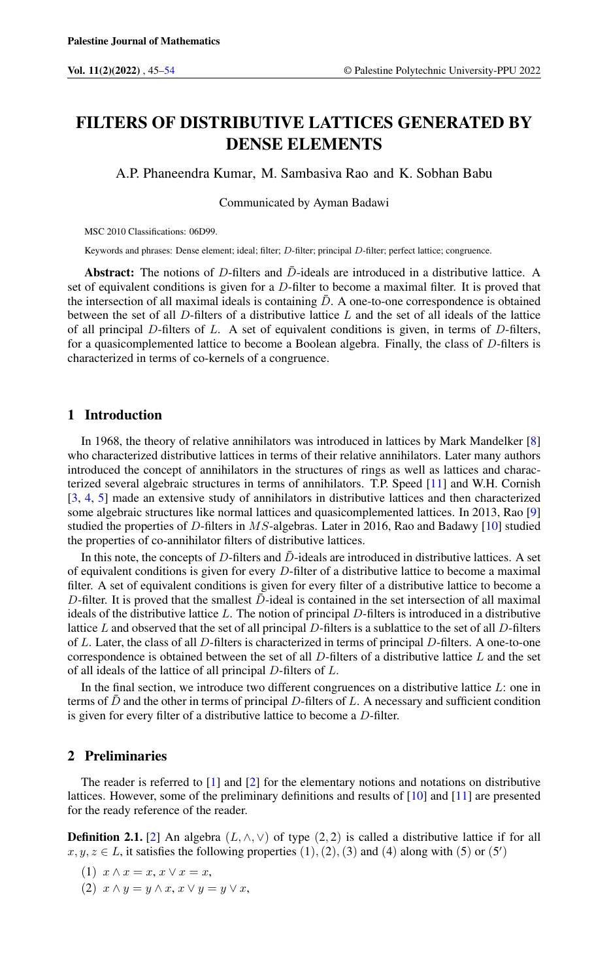# FILTERS OF DISTRIBUTIVE LATTICES GENERATED BY DENSE ELEMENTS

A.P. Phaneendra Kumar, M. Sambasiva Rao and K. Sobhan Babu

Communicated by Ayman Badawi

MSC 2010 Classifications: 06D99.

Keywords and phrases: Dense element; ideal; filter; D-filter; principal D-filter; perfect lattice; congruence.

Abstract: The notions of D-filters and  $\bar{D}$ -ideals are introduced in a distributive lattice. A set of equivalent conditions is given for a D-filter to become a maximal filter. It is proved that the intersection of all maximal ideals is containing  $\bar{D}$ . A one-to-one correspondence is obtained between the set of all D-filters of a distributive lattice L and the set of all ideals of the lattice of all principal  $D$ -filters of  $L$ . A set of equivalent conditions is given, in terms of  $D$ -filters, for a quasicomplemented lattice to become a Boolean algebra. Finally, the class of D-filters is characterized in terms of co-kernels of a congruence.

### 1 Introduction

In 1968, the theory of relative annihilators was introduced in lattices by Mark Mandelker [\[8\]](#page-9-1) who characterized distributive lattices in terms of their relative annihilators. Later many authors introduced the concept of annihilators in the structures of rings as well as lattices and characterized several algebraic structures in terms of annihilators. T.P. Speed [\[11\]](#page-9-2) and W.H. Cornish [\[3,](#page-9-3) [4,](#page-9-4) [5\]](#page-9-5) made an extensive study of annihilators in distributive lattices and then characterized some algebraic structures like normal lattices and quasicomplemented lattices. In 2013, Rao [\[9\]](#page-9-6) studied the properties of  $D$ -filters in  $MS$ -algebras. Later in 2016, Rao and Badawy [\[10\]](#page-9-7) studied the properties of co-annihilator filters of distributive lattices.

In this note, the concepts of D-filters and  $\bar{D}$ -ideals are introduced in distributive lattices. A set of equivalent conditions is given for every D-filter of a distributive lattice to become a maximal filter. A set of equivalent conditions is given for every filter of a distributive lattice to become a D-filter. It is proved that the smallest  $\bar{D}$ -ideal is contained in the set intersection of all maximal ideals of the distributive lattice L. The notion of principal D-filters is introduced in a distributive lattice  $L$  and observed that the set of all principal  $D$ -filters is a sublattice to the set of all  $D$ -filters of L. Later, the class of all D-filters is characterized in terms of principal D-filters. A one-to-one correspondence is obtained between the set of all  $D$ -filters of a distributive lattice  $L$  and the set of all ideals of the lattice of all principal D-filters of L.

In the final section, we introduce two different congruences on a distributive lattice  $L$ : one in terms of  $\bar{D}$  and the other in terms of principal D-filters of L. A necessary and sufficient condition is given for every filter of a distributive lattice to become a D-filter.

### 2 Preliminaries

The reader is referred to [\[1\]](#page-9-8) and [\[2\]](#page-9-9) for the elementary notions and notations on distributive lattices. However, some of the preliminary definitions and results of [\[10\]](#page-9-7) and [\[11\]](#page-9-2) are presented for the ready reference of the reader.

**Definition 2.1.** [\[2\]](#page-9-9) An algebra  $(L, \wedge, \vee)$  of type  $(2, 2)$  is called a distributive lattice if for all  $x, y, z \in L$ , it satisfies the following properties  $(1), (2), (3)$  and  $(4)$  along with  $(5)$  or  $(5')$ 

- (1)  $x \wedge x = x, x \vee x = x$ ,
- (2)  $x \wedge y = y \wedge x, x \vee y = y \vee x$ ,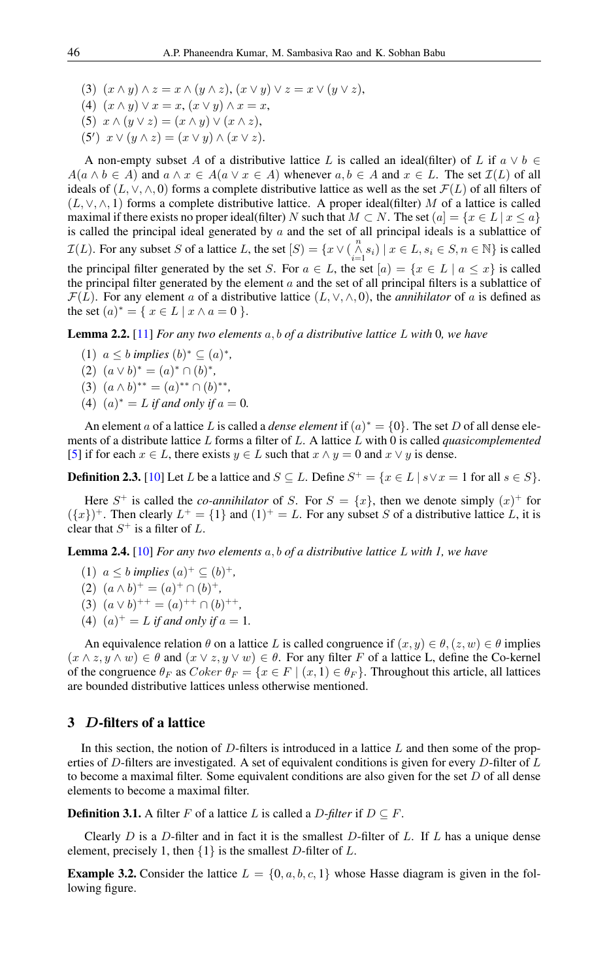(3)  $(x \wedge y) \wedge z = x \wedge (y \wedge z), (x \vee y) \vee z = x \vee (y \vee z),$ 

(4)  $(x \wedge y) \vee x = x, (x \vee y) \wedge x = x$ ,

- (5)  $x \wedge (y \vee z) = (x \wedge y) \vee (x \wedge z),$
- (5')  $x \vee (y \wedge z) = (x \vee y) \wedge (x \vee z).$

A non-empty subset A of a distributive lattice L is called an ideal(filter) of L if  $a \vee b \in$  $A(a \land b \in A)$  and  $a \land x \in A(a \lor x \in A)$  whenever  $a, b \in A$  and  $x \in L$ . The set  $\mathcal{I}(L)$  of all ideals of  $(L, \vee, \wedge, 0)$  forms a complete distributive lattice as well as the set  $\mathcal{F}(L)$  of all filters of  $(L, \vee, \wedge, 1)$  forms a complete distributive lattice. A proper ideal(filter) M of a lattice is called maximal if there exists no proper ideal(filter) N such that  $M \subset N$ . The set  $(a) = \{x \in L | x \le a\}$ is called the principal ideal generated by  $a$  and the set of all principal ideals is a sublattice of  $\mathcal{I}(L)$ . For any subset S of a lattice L, the set  $[S] = \{x \vee (\bigwedge_{i=1}^{n} s_i) \mid x \in L, s_i \in S, n \in \mathbb{N}\}$  is called the principal filter generated by the set S. For  $a \in L$ , the set  $[a] = \{x \in L \mid a \leq x\}$  is called the principal filter generated by the element  $a$  and the set of all principal filters is a sublattice of  $\mathcal{F}(L)$ . For any element a of a distributive lattice  $(L, \vee, \wedge, 0)$ , the *annihilator* of a is defined as the set  $(a)^* = \{ x \in L \mid x \wedge a = 0 \}$ .

Lemma 2.2. [\[11\]](#page-9-2) *For any two elements* a, b *of a distributive lattice* L *with* 0*, we have*

- (1)  $a \leq b$  *implies*  $(b)^* \subseteq (a)^*$ ,
- (2)  $(a \vee b)^* = (a)^* \cap (b)^*,$
- (3)  $(a \wedge b)^{**} = (a)^{**} \cap (b)^{**},$
- (4)  $(a)^* = L$  *if and only if*  $a = 0$ *.*

An element a of a lattice L is called a *dense element* if  $(a)^* = \{0\}$ . The set D of all dense elements of a distribute lattice L forms a filter of L. A lattice L with 0 is called *quasicomplemented* [\[5\]](#page-9-5) if for each  $x \in L$ , there exists  $y \in L$  such that  $x \wedge y = 0$  and  $x \vee y$  is dense.

**Definition 2.3.** [\[10\]](#page-9-7) Let L be a lattice and  $S \subseteq L$ . Define  $S^+ = \{x \in L \mid s \lor x = 1 \text{ for all } s \in S\}$ .

Here  $S^+$  is called the *co-annihilator* of S. For  $S = \{x\}$ , then we denote simply  $(x)^+$  for  $({x})^+$ . Then clearly  $L^+ = {1}$  and  $(1)^+ = L$ . For any subset S of a distributive lattice L, it is clear that  $S^+$  is a filter of L.

Lemma 2.4. [\[10\]](#page-9-7) *For any two elements* a, b *of a distributive lattice* L *with 1, we have*

- (1) *a* ≤ *b implies*  $(a)^+$  ⊆  $(b)^+,$
- (2)  $(a \wedge b)^+ = (a)^+ \cap (b)^+,$
- (3)  $(a \vee b)^{++} = (a)^{++} \cap (b)^{++}$ ,
- (4)  $(a)^{+} = L$  *if and only if*  $a = 1$ *.*

An equivalence relation  $\theta$  on a lattice L is called congruence if  $(x, y) \in \theta$ ,  $(z, w) \in \theta$  implies  $(x \wedge z, y \wedge w) \in \theta$  and  $(x \vee z, y \vee w) \in \theta$ . For any filter F of a lattice L, define the Co-kernel of the congruence  $\theta_F$  as  $Coker \theta_F = \{x \in F \mid (x, 1) \in \theta_F\}$ . Throughout this article, all lattices are bounded distributive lattices unless otherwise mentioned.

### 3 D-filters of a lattice

In this section, the notion of  $D$ -filters is introduced in a lattice  $L$  and then some of the properties of D-filters are investigated. A set of equivalent conditions is given for every D-filter of  $L$ to become a maximal filter. Some equivalent conditions are also given for the set  $D$  of all dense elements to become a maximal filter.

**Definition 3.1.** A filter F of a lattice L is called a D-filter if  $D \subseteq F$ .

Clearly  $D$  is a  $D$ -filter and in fact it is the smallest  $D$ -filter of  $L$ . If  $L$  has a unique dense element, precisely 1, then  $\{1\}$  is the smallest D-filter of L.

**Example 3.2.** Consider the lattice  $L = \{0, a, b, c, 1\}$  whose Hasse diagram is given in the following figure.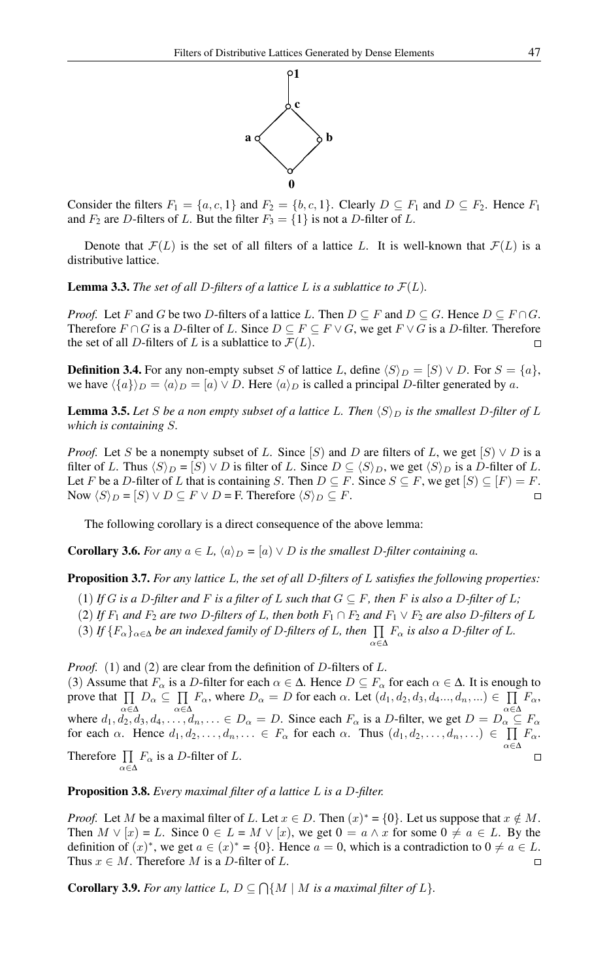

Consider the filters  $F_1 = \{a, c, 1\}$  and  $F_2 = \{b, c, 1\}$ . Clearly  $D \subseteq F_1$  and  $D \subseteq F_2$ . Hence  $F_1$ and  $F_2$  are D-filters of L. But the filter  $F_3 = \{1\}$  is not a D-filter of L.

Denote that  $\mathcal{F}(L)$  is the set of all filters of a lattice L. It is well-known that  $\mathcal{F}(L)$  is a distributive lattice.

**Lemma 3.3.** The set of all D-filters of a lattice L is a sublattice to  $\mathcal{F}(L)$ .

*Proof.* Let F and G be two D-filters of a lattice L. Then  $D \subseteq F$  and  $D \subseteq G$ . Hence  $D \subseteq F \cap G$ . Therefore  $F \cap G$  is a D-filter of L. Since  $D \subseteq F \subseteq F \vee G$ , we get  $F \vee G$  is a D-filter. Therefore the set of all D-filters of L is a sublattice to  $\mathcal{F}(L)$ .  $\Box$ 

**Definition 3.4.** For any non-empty subset S of lattice L, define  $\langle S \rangle_D = [S] \vee D$ . For  $S = \{a\}$ , we have  $\langle \{a\} \rangle_D = \langle a \rangle_D = [a] \vee D$ . Here  $\langle a \rangle_D$  is called a principal D-filter generated by a.

**Lemma 3.5.** Let S be a non empty subset of a lattice L. Then  $\langle S \rangle_D$  is the smallest D-filter of L *which is containing* S*.*

*Proof.* Let S be a nonempty subset of L. Since  $[S]$  and D are filters of L, we get  $[S] \vee D$  is a filter of L. Thus  $\langle S \rangle_D = [S] \vee D$  is filter of L. Since  $D \subseteq \langle S \rangle_D$ , we get  $\langle S \rangle_D$  is a D-filter of L. Let F be a D-filter of L that is containing S. Then  $D \subseteq F$ . Since  $S \subseteq F$ , we get  $[S] \subseteq [F] = F$ . Now  $\langle S \rangle_D = [S] \vee D \subseteq F \vee D = F$ . Therefore  $\langle S \rangle_D \subseteq F$ .  $\Box$ 

The following corollary is a direct consequence of the above lemma:

**Corollary 3.6.** *For any*  $a \in L$ ,  $\langle a \rangle_D = [a] \vee D$  *is the smallest* D-filter containing a.

Proposition 3.7. *For any lattice* L*, the set of all* D*-filters of* L *satisfies the following properties:*

(1) *If* G *is a* D-filter and F *is a filter of* L such that  $G \subseteq F$ , then F *is also a* D-filter of L;

(2) If  $F_1$  and  $F_2$  are two D-filters of L, then both  $F_1 \cap F_2$  and  $F_1 \vee F_2$  are also D-filters of L

α∈∆

(3) If  $\{F_\alpha\}_{\alpha\in\Delta}$  be an indexed family of D-filters of L, then  $\prod F_\alpha$  is also a D-filter of L.

*Proof.* (1) and (2) are clear from the definition of D-filters of L.

(3) Assume that  $F_\alpha$  is a D-filter for each  $\alpha \in \Delta$ . Hence  $D \subseteq F_\alpha$  for each  $\alpha \in \Delta$ . It is enough to prove that  $\prod$  $D_{\alpha} \subseteq \prod$  $F_{\alpha}$ , where  $D_{\alpha} = D$  for each  $\alpha$ . Let  $(d_1, d_2, d_3, d_4..., d_n, ...) \in \prod$  $F_{\alpha}$ α∈∆ α∈∆ α∈∆ where  $d_1, d_2, d_3, d_4, \ldots, d_n, \ldots \in D_\alpha = D$ . Since each  $F_\alpha$  is a D-filter, we get  $D = D_\alpha \subseteq F_\alpha$ for each  $\alpha$ . Hence  $d_1, d_2, \ldots, d_n, \ldots \in F_\alpha$  for each  $\alpha$ . Thus  $(d_1, d_2, \ldots, d_n, \ldots) \in \prod$  $F_{\alpha}$ . α∈∆ Therefore  $\prod$  $F_{\alpha}$  is a D-filter of L.  $\Box$ 

Proposition 3.8. *Every maximal filter of a lattice* L *is a* D*-filter.*

α∈∆

*Proof.* Let M be a maximal filter of L. Let  $x \in D$ . Then  $(x)^* = \{0\}$ . Let us suppose that  $x \notin M$ . Then  $M \vee [x] = L$ . Since  $0 \in L = M \vee [x]$ , we get  $0 = a \wedge x$  for some  $0 \neq a \in L$ . By the definition of  $(x)^*$ , we get  $a \in (x)^* = \{0\}$ . Hence  $a = 0$ , which is a contradiction to  $0 \neq a \in L$ . Thus  $x \in M$ . Therefore M is a D-filter of L.  $\Box$ 

**Corollary 3.9.** For any lattice  $L, D \subseteq \bigcap \{M \mid M \text{ is a maximal filter of } L\}.$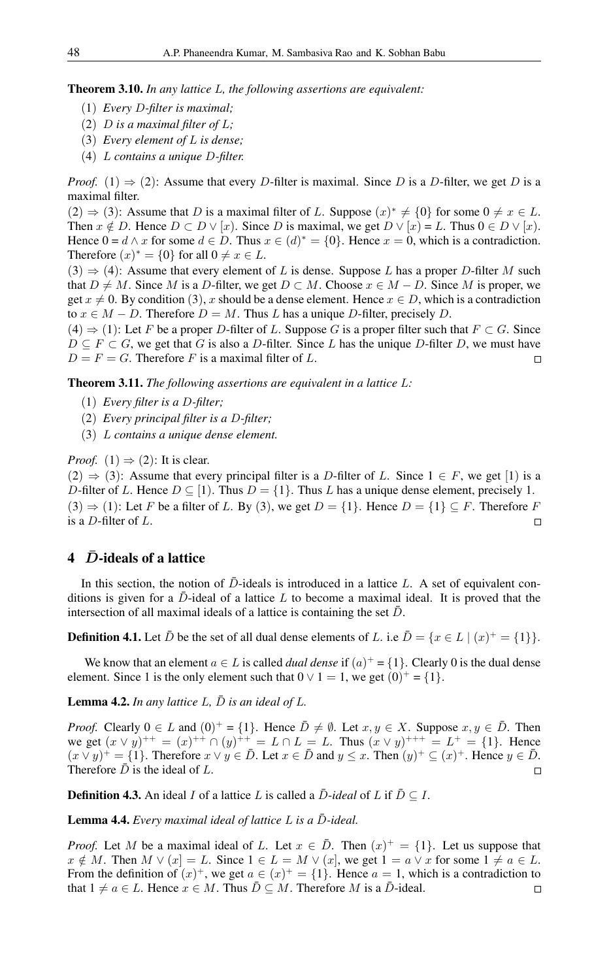Theorem 3.10. *In any lattice* L*, the following assertions are equivalent:*

- (1) *Every* D*-filter is maximal;*
- (2) D *is a maximal filter of* L*;*
- (3) *Every element of* L *is dense;*
- (4) L *contains a unique* D*-filter.*

*Proof.* (1)  $\Rightarrow$  (2): Assume that every D-filter is maximal. Since D is a D-filter, we get D is a maximal filter.

 $(2) \Rightarrow (3)$ : Assume that D is a maximal filter of L. Suppose  $(x)^* \neq \{0\}$  for some  $0 \neq x \in L$ . Then  $x \notin D$ . Hence  $D \subset D \vee [x]$ . Since D is maximal, we get  $D \vee [x] = L$ . Thus  $0 \in D \vee [x]$ . Hence  $0 = d \wedge x$  for some  $d \in D$ . Thus  $x \in (d)^* = \{0\}$ . Hence  $x = 0$ , which is a contradiction. Therefore  $(x)^* = \{0\}$  for all  $0 \neq x \in L$ .

 $(3) \Rightarrow (4)$ : Assume that every element of L is dense. Suppose L has a proper D-filter M such that  $D \neq M$ . Since M is a D-filter, we get  $D \subset M$ . Choose  $x \in M - D$ . Since M is proper, we get  $x \neq 0$ . By condition (3), x should be a dense element. Hence  $x \in D$ , which is a contradiction to  $x \in M - D$ . Therefore  $D = M$ . Thus L has a unique D-filter, precisely D.

 $(4) \Rightarrow (1)$ : Let F be a proper D-filter of L. Suppose G is a proper filter such that  $F \subset G$ . Since  $D \subseteq F \subset G$ , we get that G is also a D-filter. Since L has the unique D-filter D, we must have  $D = F = G$ . Therefore F is a maximal filter of L.  $\Box$ 

Theorem 3.11. *The following assertions are equivalent in a lattice* L*:*

- (1) *Every filter is a* D*-filter;*
- (2) *Every principal filter is a* D*-filter;*
- (3) L *contains a unique dense element.*

*Proof.* (1)  $\Rightarrow$  (2): It is clear.

 $(2) \Rightarrow (3)$ : Assume that every principal filter is a D-filter of L. Since  $1 \in F$ , we get [1) is a D-filter of L. Hence  $D \subseteq [1]$ . Thus  $D = \{1\}$ . Thus L has a unique dense element, precisely 1.  $(3) \Rightarrow (1)$ : Let F be a filter of L. By  $(3)$ , we get  $D = \{1\}$ . Hence  $D = \{1\} \subseteq F$ . Therefore F is a D-filter of L.  $\Box$ 

## 4  $\bar{D}$ -ideals of a lattice

In this section, the notion of  $\bar{D}$ -ideals is introduced in a lattice L. A set of equivalent conditions is given for a  $\bar{D}$ -ideal of a lattice L to become a maximal ideal. It is proved that the intersection of all maximal ideals of a lattice is containing the set  $\bar{D}$ .

**Definition 4.1.** Let  $\bar{D}$  be the set of all dual dense elements of L. i.e  $\bar{D} = \{x \in L \mid (x)^{+} = \{1\}\}.$ 

We know that an element  $a \in L$  is called *dual dense* if  $(a)^+ = \{1\}$ . Clearly 0 is the dual dense element. Since 1 is the only element such that  $0 \vee 1 = 1$ , we get  $(0)^{+} = \{1\}$ .

**Lemma 4.2.** *In any lattice*  $L$ ,  $\bar{D}$  *is an ideal of*  $L$ .

*Proof.* Clearly  $0 \in L$  and  $(0)^{+} = \{1\}$ . Hence  $\overline{D} \neq \emptyset$ . Let  $x, y \in X$ . Suppose  $x, y \in \overline{D}$ . Then we get  $(x \vee y)^{++} = (x)^{++} \cap (y)^{++} = L \cap L = L$ . Thus  $(x \vee y)^{+++} = L^{+} = \{1\}$ . Hence  $(x \vee y)^{+} = \{1\}$ . Therefore  $x \vee y \in \overline{D}$ . Let  $x \in \overline{D}$  and  $y \leq x$ . Then  $(y)^{+} \subseteq (x)^{+}$ . Hence  $y \in \overline{D}$ . Therefore  $\bar{D}$  is the ideal of L.  $\Box$ 

**Definition 4.3.** An ideal I of a lattice L is called a  $\bar{D}$ -*ideal* of L if  $\bar{D} \subseteq I$ .

Lemma 4.4. *Every maximal ideal of lattice L is a D-ideal.* 

*Proof.* Let M be a maximal ideal of L. Let  $x \in \overline{D}$ . Then  $(x)^{+} = \{1\}$ . Let us suppose that  $x \notin M$ . Then  $M \vee (x) = L$ . Since  $1 \in L = M \vee (x)$ , we get  $1 = a \vee x$  for some  $1 \neq a \in L$ . From the definition of  $(x)^+$ , we get  $a \in (x)^+ = \{1\}$ . Hence  $a = 1$ , which is a contradiction to that  $1 \neq a \in L$ . Hence  $x \in M$ . Thus  $\overline{D} \subseteq M$ . Therefore M is a  $\overline{D}$ -ideal.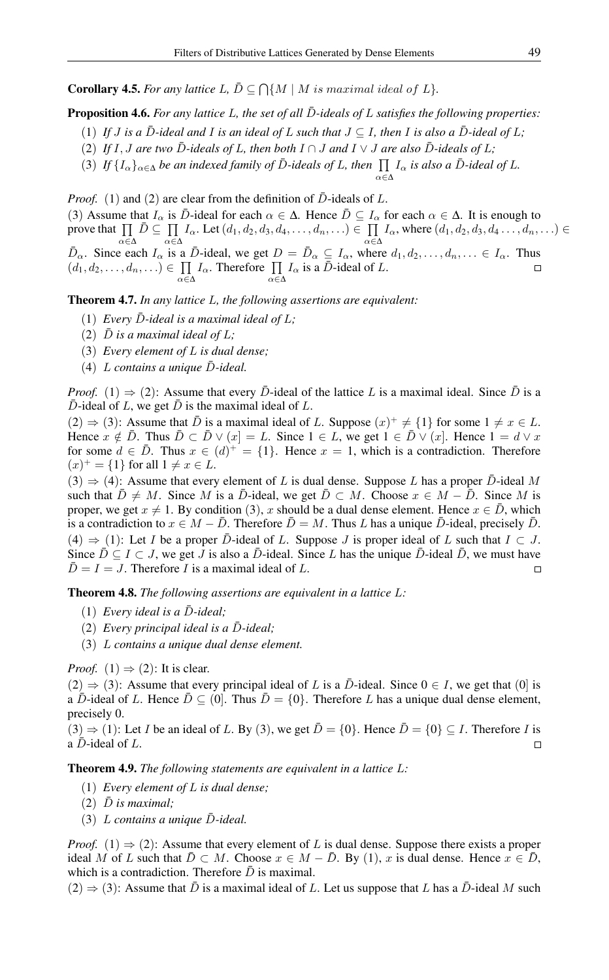**Corollary 4.5.** For any lattice  $L, \overline{D} \subseteq \bigcap \{M \mid M \text{ is maximal ideal of } L\}.$ 

**Proposition 4.6.** *For any lattice* L, the set of all  $\overline{D}$ -ideals of L satisfies the following properties:

- $(1)$  *If J* is a  $\overline{D}$ -ideal and *I* is an ideal of L such that  $J \subseteq I$ , then *I* is also a  $\overline{D}$ -ideal of L;
- (2) If I, J are two  $\overline{D}$ -ideals of L, then both  $I \cap J$  and  $I \vee J$  are also  $\overline{D}$ -ideals of L;
- (3) If  $\{I_\alpha\}_{\alpha \in \Delta}$  *be an indexed family of D*-*ideals of L, then*  $\prod I_\alpha$  *is also a D*-*ideal of L.*

*Proof.* (1) and (2) are clear from the definition of  $\bar{D}$ -ideals of L. (3) Assume that  $I_\alpha$  is  $\bar{D}$ -ideal for each  $\alpha \in \Delta$ . Hence  $\bar{D} \subseteq I_\alpha$  for each  $\alpha \in \Delta$ . It is enough to prove that  $\prod \bar{D} \subseteq \prod I_{\alpha}$ . Let  $(d_1, d_2, d_3, d_4, \ldots, d_n, \ldots) \in \prod I_{\alpha}$ , where  $(d_1, d_2, d_3, d_4 \ldots, d_n, \ldots) \in$ α∈∆ α∈∆ α∈∆  $\bar{D}_{\alpha}$ . Since each  $I_{\alpha}$  is a  $\bar{D}$ -ideal, we get  $D = \bar{D}_{\alpha} \subseteq I_{\alpha}$ , where  $d_1, d_2, \ldots, d_n, \ldots \in I_{\alpha}$ . Thus  $(d_1, d_2, \ldots, d_n, \ldots) \in \prod I_\alpha$ . Therefore  $\prod I_\alpha$  is a  $\overline{D}$ -ideal of L. α∈∆ α∈∆

α∈∆

Theorem 4.7. *In any lattice* L*, the following assertions are equivalent:*

- $(1)$  *Every D-ideal is a maximal ideal of L*;
- (2)  $\bar{D}$  *is a maximal ideal of L*;
- (3) *Every element of* L *is dual dense;*
- $(4)$  *L* contains a unique  $\bar{D}$ -ideal.

*Proof.* (1)  $\Rightarrow$  (2): Assume that every  $\bar{D}$ -ideal of the lattice L is a maximal ideal. Since  $\bar{D}$  is a  $\bar{D}$ -ideal of L, we get  $\bar{D}$  is the maximal ideal of L.

 $(2) \Rightarrow (3)$ : Assume that  $\overline{D}$  is a maximal ideal of L. Suppose  $(x)^{+} \neq \{1\}$  for some  $1 \neq x \in L$ . Hence  $x \notin \overline{D}$ . Thus  $\overline{D} \subset \overline{D} \vee (x] = L$ . Since  $1 \in L$ , we get  $1 \in \overline{D} \vee (x]$ . Hence  $1 = d \vee x$ for some  $d \in \overline{D}$ . Thus  $x \in (d)^+ = \{1\}$ . Hence  $x = 1$ , which is a contradiction. Therefore  $(x)^{+} = \{1\}$  for all  $1 \neq x \in L$ .

 $(3) \Rightarrow (4)$ : Assume that every element of L is dual dense. Suppose L has a proper  $\overline{D}$ -ideal M such that  $\bar{D} \neq M$ . Since M is a  $\bar{D}$ -ideal, we get  $\bar{D} \subset M$ . Choose  $x \in M - \bar{D}$ . Since M is proper, we get  $x \neq 1$ . By condition (3), x should be a dual dense element. Hence  $x \in \overline{D}$ , which is a contradiction to  $x \in M - \overline{D}$ . Therefore  $\overline{D} = M$ . Thus L has a unique  $\overline{D}$ -ideal, precisely  $\overline{D}$ . (4)  $\Rightarrow$  (1): Let I be a proper D-ideal of L. Suppose J is proper ideal of L such that  $I \subset J$ . Since  $\bar{D} \subseteq I \subset J$ , we get J is also a  $\bar{D}$ -ideal. Since L has the unique  $\bar{D}$ -ideal  $\bar{D}$ , we must have  $\overline{D} = I = J$ . Therefore I is a maximal ideal of L.  $\Box$ 

Theorem 4.8. *The following assertions are equivalent in a lattice* L*:*

- $(1)$  *Every ideal is a*  $\bar{D}$ *-ideal*;
- $(2)$  *Every principal ideal is a*  $\bar{D}$ *-ideal*;
- (3) L *contains a unique dual dense element.*

*Proof.* (1)  $\Rightarrow$  (2): It is clear.

 $(2) \Rightarrow (3)$ : Assume that every principal ideal of L is a  $\overline{D}$ -ideal. Since  $0 \in I$ , we get that  $(0)$  is a D-ideal of L. Hence  $\bar{D} \subseteq (0]$ . Thus  $\bar{D} = \{0\}$ . Therefore L has a unique dual dense element, precisely 0.

 $(3) \Rightarrow (1)$ : Let I be an ideal of L. By (3), we get  $\overline{D} = \{0\}$ . Hence  $\overline{D} = \{0\} \subseteq I$ . Therefore I is a  $D$ -ideal of  $L$ .  $\Box$ 

Theorem 4.9. *The following statements are equivalent in a lattice* L*:*

- (1) *Every element of* L *is dual dense;*
- $(2)$   $\bar{D}$  *is maximal*;
- $(3)$  *L* contains a unique  $\bar{D}$ -ideal.

*Proof.* (1)  $\Rightarrow$  (2): Assume that every element of L is dual dense. Suppose there exists a proper ideal M of L such that  $\overline{D} \subset M$ . Choose  $x \in M - \overline{D}$ . By (1), x is dual dense. Hence  $x \in \overline{D}$ , which is a contradiction. Therefore  $\bar{D}$  is maximal.

 $(2) \Rightarrow (3)$ : Assume that  $\overline{D}$  is a maximal ideal of L. Let us suppose that L has a  $\overline{D}$ -ideal M such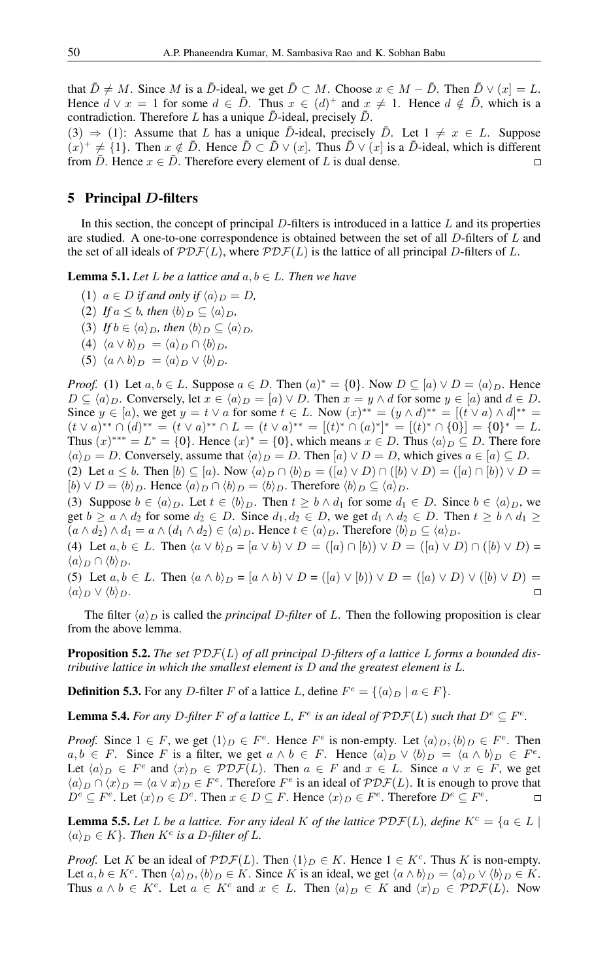that  $\bar{D} \neq M$ . Since M is a  $\bar{D}$ -ideal, we get  $\bar{D} \subset M$ . Choose  $x \in M - \bar{D}$ . Then  $\bar{D} \vee (x) = L$ . Hence  $d \vee x = 1$  for some  $d \in \overline{D}$ . Thus  $x \in (d)^{+}$  and  $x \neq 1$ . Hence  $d \notin \overline{D}$ , which is a contradiction. Therefore L has a unique  $\bar{D}$ -ideal, precisely  $\bar{D}$ .

(3)  $\Rightarrow$  (1): Assume that L has a unique D-ideal, precisely D. Let  $1 \neq x \in L$ . Suppose  $(x)^+ \neq \{1\}$ . Then  $x \notin \overline{D}$ . Hence  $\overline{D} \subset \overline{D} \vee (x]$ . Thus  $\overline{D} \vee (x)$  is a  $\overline{D}$ -ideal, which is different from  $\bar{D}$ . Hence  $x \in \bar{D}$ . Therefore every element of L is dual dense.  $\Box$ 

### 5 Principal D-filters

In this section, the concept of principal  $D$ -filters is introduced in a lattice  $L$  and its properties are studied. A one-to-one correspondence is obtained between the set of all D-filters of L and the set of all ideals of  $\mathcal{PDF}(L)$ , where  $\mathcal{PDF}(L)$  is the lattice of all principal D-filters of L.

**Lemma 5.1.** *Let*  $L$  *be a lattice and*  $a, b \in L$ *. Then we have* 

- (1)  $a \in D$  *if and only if*  $\langle a \rangle_D = D$ ,
- (2) *If*  $a \leq b$ *, then*  $\langle b \rangle_D \subseteq \langle a \rangle_D$ *,*
- (3) *If*  $b \in \langle a \rangle_D$ , then  $\langle b \rangle_D \subseteq \langle a \rangle_D$ ,
- (4)  $\langle a \vee b \rangle_D = \langle a \rangle_D \cap \langle b \rangle_D$
- (5)  $\langle a \wedge b \rangle_D = \langle a \rangle_D \vee \langle b \rangle_D$ .

*Proof.* (1) Let  $a, b \in L$ . Suppose  $a \in D$ . Then  $(a)^* = \{0\}$ . Now  $D \subseteq [a] \vee D = \langle a \rangle_D$ . Hence  $D \subseteq \langle a \rangle_D$ . Conversely, let  $x \in \langle a \rangle_D = [a] \vee D$ . Then  $x = y \wedge d$  for some  $y \in [a]$  and  $d \in D$ . Since  $y \in [a)$ , we get  $y = t \vee a$  for some  $t \in L$ . Now  $(x)^{**} = (y \wedge d)^{**} = [(t \vee a) \wedge d]^{**}$  $(t \vee a)^{**} \cap (d)^{**} = (t \vee a)^{**} \cap L = (t \vee a)^{**} = [(t)^* \cap (a)^*]^* = [(t)^* \cap \{0\}] = \{0\}^* = L.$ Thus  $(x)^{***} = L^* = \{0\}$ . Hence  $(x)^* = \{0\}$ , which means  $x \in D$ . Thus  $\langle a \rangle_D \subseteq D$ . There fore  $\langle a \rangle_D = D$ . Conversely, assume that  $\langle a \rangle_D = D$ . Then  $[a] \vee D = D$ , which gives  $a \in [a] \subseteq D$ . (2) Let  $a \leq b$ . Then  $[b) \subseteq [a]$ . Now  $\langle a \rangle_D \cap \langle b \rangle_D = ([a) \vee D) \cap ([b] \vee D) = ([a] \cap [b]) \vee D =$ 

 $[b] \vee D = \langle b \rangle_D$ . Hence  $\langle a \rangle_D \cap \langle b \rangle_D = \langle b \rangle_D$ . Therefore  $\langle b \rangle_D \subseteq \langle a \rangle_D$ .

(3) Suppose  $b \in \langle a \rangle_D$ . Let  $t \in \langle b \rangle_D$ . Then  $t \geq b \wedge d_1$  for some  $d_1 \in D$ . Since  $b \in \langle a \rangle_D$ , we get  $b \ge a \wedge d_2$  for some  $d_2 \in D$ . Since  $d_1, d_2 \in D$ , we get  $d_1 \wedge d_2 \in D$ . Then  $t \ge b \wedge d_1 \ge$  $(a \wedge d_2) \wedge d_1 = a \wedge (d_1 \wedge d_2) \in \langle a \rangle_D$ . Hence  $t \in \langle a \rangle_D$ . Therefore  $\langle b \rangle_D \subseteq \langle a \rangle_D$ .

(4) Let  $a, b \in L$ . Then  $\langle a \vee b \rangle_D = [a \vee b) \vee D = ([a) \cap [b]) \vee D = ([a) \vee D) \cap ([b) \vee D) =$  $\langle a \rangle_D \cap \langle b \rangle_D$ .

(5) Let  $a, b \in L$ . Then  $\langle a \wedge b \rangle_D = [a \wedge b) \vee D = ([a] \vee [b]) \vee D = ([a] \vee D) \vee ([b] \vee D) =$  $\langle a \rangle_D \vee \langle b \rangle_D.$ 

The filter  $\langle a \rangle_D$  is called the *principal D-filter* of L. Then the following proposition is clear from the above lemma.

Proposition 5.2. *The set* PDF(L) *of all principal* D*-filters of a lattice* L *forms a bounded distributive lattice in which the smallest element is* D *and the greatest element is* L*.*

**Definition 5.3.** For any *D*-filter *F* of a lattice *L*, define  $F^e = \{\langle a \rangle_D \mid a \in F\}.$ 

**Lemma 5.4.** For any D-filter F of a lattice L,  $F^e$  is an ideal of  $\mathcal{PDF}(L)$  such that  $D^e \subseteq F^e$ .

*Proof.* Since  $1 \in F$ , we get  $\langle 1 \rangle_D \in F^e$ . Hence  $F^e$  is non-empty. Let  $\langle a \rangle_D, \langle b \rangle_D \in F^e$ . Then  $a, b \in F$ . Since F is a filter, we get  $a \wedge b \in F$ . Hence  $\langle a \rangle_D \vee \langle b \rangle_D = \langle a \wedge b \rangle_D \in F^e$ . Let  $\langle a \rangle_D \in F^e$  and  $\langle x \rangle_D \in \mathcal{PDF}(L)$ . Then  $a \in F$  and  $x \in L$ . Since  $a \vee x \in F$ , we get  $\langle a \rangle_D \cap \langle x \rangle_D = \langle a \vee x \rangle_D \in F^e$ . Therefore  $F^e$  is an ideal of  $\mathcal{PDF}(L)$ . It is enough to prove that  $D^e \subseteq F^e$ . Let  $\langle x \rangle_D \in D^e$ . Then  $x \in D \subseteq F$ . Hence  $\langle x \rangle_D \in F^e$ . Therefore  $D^e \subseteq F^e$ .

**Lemma 5.5.** Let L be a lattice. For any ideal K of the lattice  $\mathcal{PDF}(L)$ , define  $K^c = \{a \in L \mid$  $\langle a \rangle_D \in K$ }. Then  $K^c$  is a D-filter of L.

*Proof.* Let K be an ideal of  $\mathcal{PDF}(L)$ . Then  $\langle 1 \rangle_D \in K$ . Hence  $1 \in K^c$ . Thus K is non-empty. Let  $a, b \in K^c$ . Then  $\langle a \rangle_D, \langle b \rangle_D \in K$ . Since K is an ideal, we get  $\langle a \wedge b \rangle_D = \langle a \rangle_D \vee \langle b \rangle_D \in K$ . Thus  $a \wedge b \in K^c$ . Let  $a \in K^c$  and  $x \in L$ . Then  $\langle a \rangle_D \in K$  and  $\langle x \rangle_D \in \mathcal{PDF}(L)$ . Now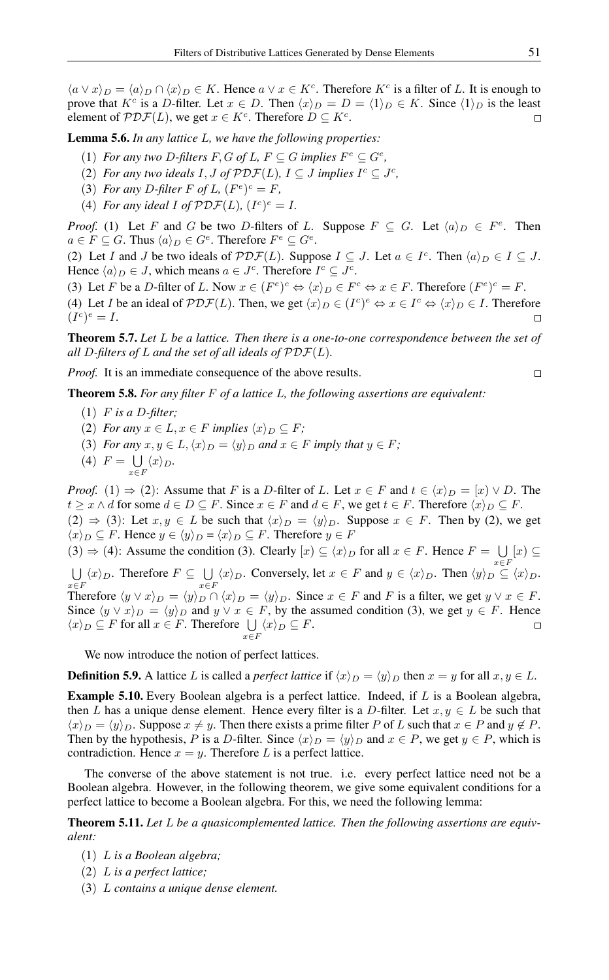$\langle a \vee x \rangle_D = \langle a \rangle_D \cap \langle x \rangle_D \in K$ . Hence  $a \vee x \in K^c$ . Therefore  $K^c$  is a filter of L. It is enough to prove that  $K^c$  is a D-filter. Let  $x \in D$ . Then  $\langle x \rangle_D = D = \langle 1 \rangle_D \in K$ . Since  $\langle 1 \rangle_D$  is the least element of  $\mathcal{PDF}(L)$ , we get  $x \in K^c$ . Therefore  $D \subseteq K^c$ .  $\Box$ 

Lemma 5.6. *In any lattice* L*, we have the following properties:*

- (1) *For any two D-filters*  $F, G$  *of L,*  $F \subseteq G$  *implies*  $F^e \subseteq G^e$ *,*
- (2) *For any two ideals*  $I, J$  *of*  $\mathcal{PDF}(L), I \subseteq J$  *implies*  $I^c \subseteq J^c$ *,*
- (3) *For any D-filter F of L*,  $(F^e)^c = F$ *,*
- (4) *For any ideal I of*  $\mathcal{PDF}(L)$ *,*  $(I^c)^e = I$ *.*

*Proof.* (1) Let F and G be two D-filters of L. Suppose  $F \subseteq G$ . Let  $\langle a \rangle_D \in F^e$ . Then  $a \in F \subseteq G$ . Thus  $\langle a \rangle_D \in G^e$ . Therefore  $F^e \subseteq G^e$ .

(2) Let I and J be two ideals of  $\mathcal{PDF}(L)$ . Suppose  $I \subseteq J$ . Let  $a \in I^c$ . Then  $\langle a \rangle_D \in I \subseteq J$ . Hence  $\langle a \rangle_D \in J$ , which means  $a \in J^c$ . Therefore  $I^c \subseteq J^c$ .

(3) Let F be a D-filter of L. Now  $x \in (F^e)^c \Leftrightarrow \langle x \rangle_D \in F^c \Leftrightarrow x \in F$ . Therefore  $(F^e)^c = F$ . (4) Let *I* be an ideal of  $\mathcal{PDF}(L)$ . Then, we get  $\langle x \rangle_D \in (I^c)^e \Leftrightarrow x \in I^c \Leftrightarrow \langle x \rangle_D \in I$ . Therefore  $(I^c)^e = I.$  $\Box$ 

Theorem 5.7. *Let* L *be a lattice. Then there is a one-to-one correspondence between the set of all* D*-filters of* L *and the set of all ideals of* PDF(L)*.*

*Proof.* It is an immediate consequence of the above results.

Theorem 5.8. *For any filter* F *of a lattice* L*, the following assertions are equivalent:*

- (1) F *is a* D*-filter;*
- (2) *For any*  $x \in L$ ,  $x \in F$  *implies*  $\langle x \rangle_D \subseteq F$ ;
- (3) *For any*  $x, y \in L$ ,  $\langle x \rangle_D = \langle y \rangle_D$  *and*  $x \in F$  *imply that*  $y \in F$ *;*
- $(4)$   $F = \bigcup$  $\bigcup_{x\in F}\langle x\rangle_D.$

*Proof.* (1)  $\Rightarrow$  (2): Assume that F is a D-filter of L. Let  $x \in F$  and  $t \in \langle x \rangle_D = [x] \vee D$ . The  $t \geq x \wedge d$  for some  $d \in D \subseteq F$ . Since  $x \in F$  and  $d \in F$ , we get  $t \in F$ . Therefore  $\langle x \rangle_D \subseteq F$ .  $(2) \Rightarrow (3)$ : Let  $x, y \in L$  be such that  $\langle x \rangle_D = \langle y \rangle_D$ . Suppose  $x \in F$ . Then by (2), we get  $\langle x \rangle_D \subseteq F$ . Hence  $y \in \langle y \rangle_D = \langle x \rangle_D \subseteq F$ . Therefore  $y \in F$  $(3) \Rightarrow (4)$ : Assume the condition (3). Clearly  $[x] \subseteq \langle x \rangle_D$  for all  $x \in F$ . Hence  $F = \bigcup [x] \subseteq$ U  $\langle x \rangle_D$ . Therefore  $F \subseteq \bigcup \langle x \rangle_D$ . Conversely, let  $x \in F$  and  $y \in \langle x \rangle_D$ . Then  $\langle y \rangle_D \subseteq$  $\bigcup_{x \in F} \langle x \rangle_D$ . Therefore  $F \subseteq \bigcup_{x \in F}$  $\bigcup_{x \in F} \langle x \rangle_D$ . Conversely, let  $x \in F$  and  $y \in \langle x \rangle_D$ . Then  $\langle y \rangle_D \subseteq \langle x \rangle_D$ . Therefore  $\langle y \vee x \rangle_D = \langle y \rangle_D \cap \langle x \rangle_D = \langle y \rangle_D$ . Since  $x \in F$  and F is a filter, we get  $y \vee x \in F$ . Since  $\langle y \vee x \rangle_D = \langle y \rangle_D$  and  $y \vee x \in F$ , by the assumed condition (3), we get  $y \in F$ . Hence  $\langle x \rangle_D \subseteq F$  for all  $x \in F$ . Therefore  $\bigcup_{x \in F} \langle x \rangle_D \subseteq F$ .  $\Box$ 

We now introduce the notion of perfect lattices.

**Definition 5.9.** A lattice L is called a *perfect lattice* if  $\langle x \rangle_D = \langle y \rangle_D$  then  $x = y$  for all  $x, y \in L$ .

Example 5.10. Every Boolean algebra is a perfect lattice. Indeed, if L is a Boolean algebra, then L has a unique dense element. Hence every filter is a D-filter. Let  $x, y \in L$  be such that  $\langle x \rangle_D = \langle y \rangle_D$ . Suppose  $x \neq y$ . Then there exists a prime filter P of L such that  $x \in P$  and  $y \notin P$ . Then by the hypothesis, P is a D-filter. Since  $\langle x \rangle_D = \langle y \rangle_D$  and  $x \in P$ , we get  $y \in P$ , which is contradiction. Hence  $x = y$ . Therefore L is a perfect lattice.

The converse of the above statement is not true. i.e. every perfect lattice need not be a Boolean algebra. However, in the following theorem, we give some equivalent conditions for a perfect lattice to become a Boolean algebra. For this, we need the following lemma:

Theorem 5.11. *Let* L *be a quasicomplemented lattice. Then the following assertions are equivalent:*

- (1) L *is a Boolean algebra;*
- (2) L *is a perfect lattice;*
- (3) L *contains a unique dense element.*

 $\Box$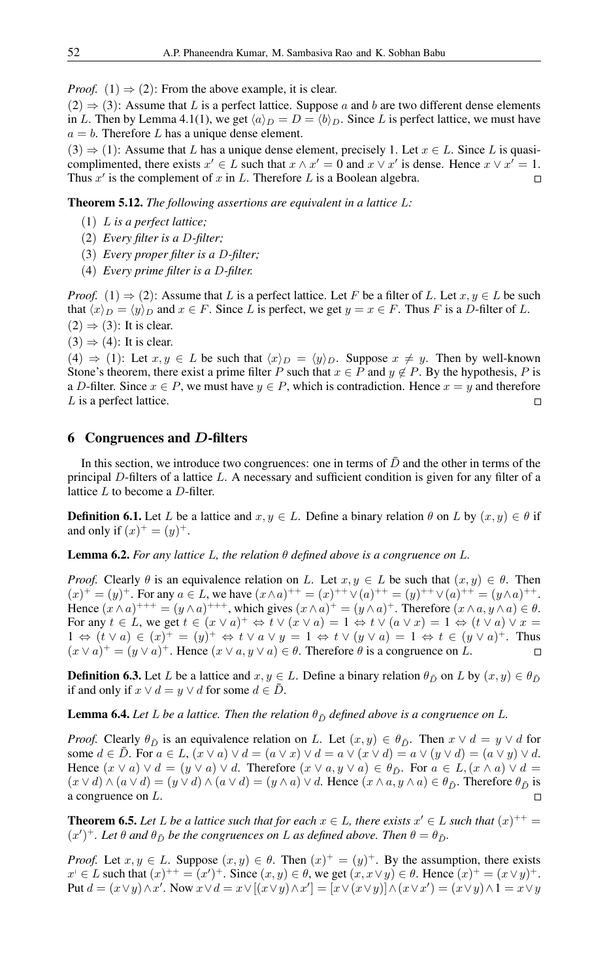*Proof.* (1)  $\Rightarrow$  (2): From the above example, it is clear.

 $(2) \Rightarrow (3)$ : Assume that L is a perfect lattice. Suppose a and b are two different dense elements in L. Then by Lemma 4.1(1), we get  $\langle a \rangle_D = D = \langle b \rangle_D$ . Since L is perfect lattice, we must have  $a = b$ . Therefore L has a unique dense element.

 $(3) \Rightarrow (1)$ : Assume that L has a unique dense element, precisely 1. Let  $x \in L$ . Since L is quasicomplimented, there exists  $x' \in L$  such that  $x \wedge x' = 0$  and  $x \vee x'$  is dense. Hence  $x \vee x' = 1$ . Thus  $x'$  is the complement of x in L. Therefore L is a Boolean algebra.  $\Box$ 

Theorem 5.12. *The following assertions are equivalent in a lattice* L*:*

- (1) L *is a perfect lattice;*
- (2) *Every filter is a* D*-filter;*
- (3) *Every proper filter is a* D*-filter;*
- (4) *Every prime filter is a* D*-filter.*

*Proof.* (1)  $\Rightarrow$  (2): Assume that L is a perfect lattice. Let F be a filter of L. Let  $x, y \in L$  be such that  $\langle x \rangle_D = \langle y \rangle_D$  and  $x \in F$ . Since L is perfect, we get  $y = x \in F$ . Thus F is a D-filter of L.  $(2) \Rightarrow (3)$ : It is clear.

 $(3) \Rightarrow (4)$ : It is clear.

(4)  $\Rightarrow$  (1): Let  $x, y \in L$  be such that  $\langle x \rangle_D = \langle y \rangle_D$ . Suppose  $x \neq y$ . Then by well-known Stone's theorem, there exist a prime filter P such that  $x \in P$  and  $y \notin P$ . By the hypothesis, P is a D-filter. Since  $x \in P$ , we must have  $y \in P$ , which is contradiction. Hence  $x = y$  and therefore L is a perfect lattice.  $\Box$ 

### 6 Congruences and D-filters

In this section, we introduce two congruences: one in terms of  $\bar{D}$  and the other in terms of the principal D-filters of a lattice L. A necessary and sufficient condition is given for any filter of a lattice  $L$  to become a  $D$ -filter.

**Definition 6.1.** Let L be a lattice and  $x, y \in L$ . Define a binary relation  $\theta$  on L by  $(x, y) \in \theta$  if and only if  $(x)^+ = (y)^+$ .

**Lemma 6.2.** *For any lattice L, the relation*  $\theta$  *defined above is a congruence on L*.

*Proof.* Clearly  $\theta$  is an equivalence relation on L. Let  $x, y \in L$  be such that  $(x, y) \in \theta$ . Then  $(x)^+ = (y)^+$ . For any  $a \in L$ , we have  $(x \wedge a)^{++} = (x)^{++} \vee (a)^{++} = (y)^{++} \vee (a)^{++} = (y \wedge a)^{++}$ . Hence  $(x \wedge a)^{+++} = (y \wedge a)^{+++}$ , which gives  $(x \wedge a)^{+} = (y \wedge a)^{+}$ . Therefore  $(x \wedge a, y \wedge a) \in \theta$ . For any  $t \in L$ , we get  $t \in (x \vee a)^+ \Leftrightarrow t \vee (x \vee a) = 1 \Leftrightarrow t \vee (a \vee x) = 1 \Leftrightarrow (t \vee a) \vee x =$  $1 \Leftrightarrow (t \vee a) \in (x)^{+} = (y)^{+} \Leftrightarrow t \vee a \vee y = 1 \Leftrightarrow t \vee (y \vee a) = 1 \Leftrightarrow t \in (y \vee a)^{+}$ . Thus  $(x \vee a)^+ = (y \vee a)^+$ . Hence  $(x \vee a, y \vee a) \in \theta$ . Therefore  $\theta$  is a congruence on L.  $\Box$ 

**Definition 6.3.** Let L be a lattice and  $x, y \in L$ . Define a binary relation  $\theta_{\bar{D}}$  on L by  $(x, y) \in \theta_{\bar{D}}$ if and only if  $x \lor d = y \lor d$  for some  $d \in \overline{D}$ .

**Lemma 6.4.** *Let L be a lattice. Then the relation*  $\theta_{\bar{D}}$  *defined above is a congruence on L*.

*Proof.* Clearly  $\theta_{\bar{D}}$  is an equivalence relation on L. Let  $(x, y) \in \theta_{\bar{D}}$ . Then  $x \vee d = y \vee d$  for some  $d \in D$ . For  $a \in L$ ,  $(x \vee a) \vee d = (a \vee x) \vee d = a \vee (x \vee d) = a \vee (y \vee d) = (a \vee y) \vee d$ . Hence  $(x \vee a) \vee d = (y \vee a) \vee d$ . Therefore  $(x \vee a, y \vee a) \in \theta_{\bar{D}}$ . For  $a \in L, (x \wedge a) \vee d =$  $(x \vee d) \wedge (a \vee d) = (y \vee d) \wedge (a \vee d) = (y \wedge a) \vee d$ . Hence  $(x \wedge a, y \wedge a) \in \theta_{\bar{D}}$ . Therefore  $\theta_{\bar{D}}$  is a congruence on L.

**Theorem 6.5.** Let L be a lattice such that for each  $x \in L$ , there exists  $x' \in L$  such that  $(x)^{++} =$  $(x')^+$ . Let  $\theta$  and  $\theta_{\bar{D}}$  be the congruences on L as defined above. Then  $\theta = \theta_{\bar{D}}$ .

*Proof.* Let  $x, y \in L$ . Suppose  $(x, y) \in \theta$ . Then  $(x)^{+} = (y)^{+}$ . By the assumption, there exists  $x' \in L$  such that  $(x)^{++} = (x')^+$ . Since  $(x, y) \in \theta$ , we get  $(x, x \vee y) \in \theta$ . Hence  $(x)^{+} = (x \vee y)^{+}$ . Put  $d = (x \lor y) \land x'$ . Now  $x \lor d = x \lor [(x \lor y) \land x'] = [x \lor (x \lor y)] \land (x \lor x') = (x \lor y) \land 1 = x \lor y$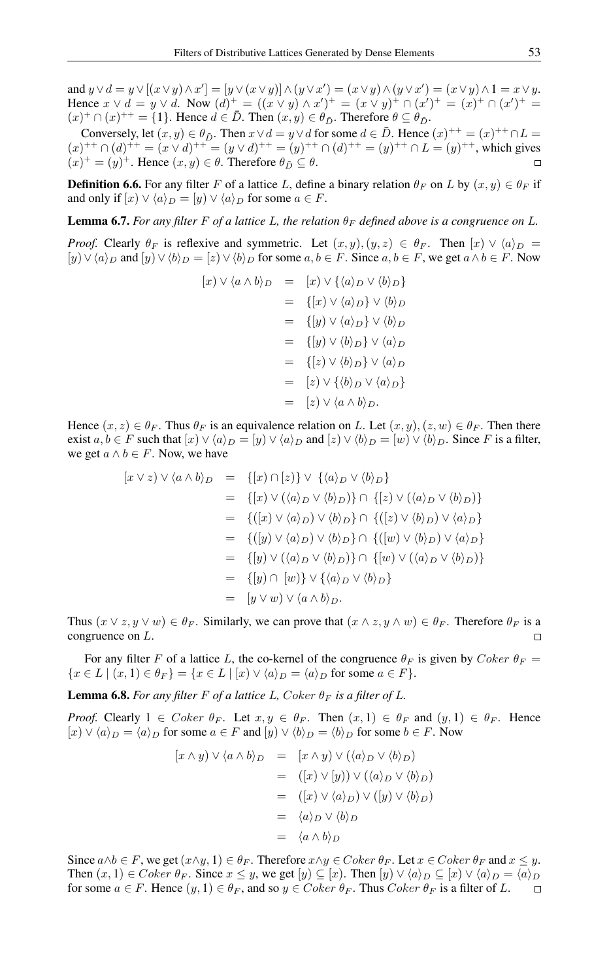and  $y \vee d = y \vee [(x \vee y) \wedge x'] = [y \vee (x \vee y)] \wedge (y \vee x') = (x \vee y) \wedge (y \vee x') = (x \vee y) \wedge 1 = x \vee y.$ Hence  $x \vee d = y \vee d$ . Now  $(d)^{+} = ((x \vee y) \wedge x')^{+} = (x \vee y)^{+} \cap (x')^{+} = (x)^{+} \cap (x')^{+} =$  $(x)^+ \cap (x)^{++} = \{1\}$ . Hence  $d \in \overline{D}$ . Then  $(x, y) \in \theta_{\overline{D}}$ . Therefore  $\theta \subseteq \theta_{\overline{D}}$ .

Conversely, let  $(x, y) \in \theta_{\bar{D}}$ . Then  $x \vee d = y \vee d$  for some  $d \in \bar{D}$ . Hence  $(x)^{++} = (x)^{++} \cap L =$  $(x)^{++} \cap (d)^{++} = (x \vee d)^{++} = (y \vee d)^{++} = (y)^{++} \cap (d)^{++} = (y)^{++} \cap L = (y)^{++}$ , which gives  $(x)^{+} = (y)^{+}$ . Hence  $(x, y) \in \theta$ . Therefore  $\theta_{\bar{D}} \subseteq \theta$ .

**Definition 6.6.** For any filter F of a lattice L, define a binary relation  $\theta_F$  on L by  $(x, y) \in \theta_F$  if and only if  $[x] \vee \langle a \rangle_D = [y] \vee \langle a \rangle_D$  for some  $a \in F$ .

**Lemma 6.7.** *For any filter F of a lattice L*, *the relation*  $\theta_F$  *defined above is a congruence on L*.

*Proof.* Clearly  $\theta_F$  is reflexive and symmetric. Let  $(x, y), (y, z) \in \theta_F$ . Then  $[x] \vee \langle a \rangle_D =$  $[y] \vee \langle a \rangle_D$  and  $[y] \vee \langle b \rangle_D = [z] \vee \langle b \rangle_D$  for some  $a, b \in F$ . Since  $a, b \in F$ , we get  $a \wedge b \in F$ . Now

$$
[x] \vee \langle a \wedge b \rangle_D = [x] \vee \{\langle a \rangle_D \vee \langle b \rangle_D\}
$$
  

$$
= \{ [x] \vee \langle a \rangle_D \} \vee \langle b \rangle_D
$$
  

$$
= \{ [y] \vee \langle a \rangle_D \} \vee \langle b \rangle_D
$$
  

$$
= \{ [y] \vee \langle b \rangle_D \} \vee \langle a \rangle_D
$$
  

$$
= \{ [z] \vee \langle b \rangle_D \} \vee \langle a \rangle_D
$$
  

$$
= [z] \vee \{ \langle b \rangle_D \vee \langle a \rangle_D \}
$$
  

$$
= [z] \vee \langle a \wedge b \rangle_D.
$$

Hence  $(x, z) \in \theta_F$ . Thus  $\theta_F$  is an equivalence relation on L. Let  $(x, y)$ ,  $(z, w) \in \theta_F$ . Then there exist  $a, b \in F$  such that  $[x] \vee \langle a \rangle_D = [y] \vee \langle a \rangle_D$  and  $[z] \vee \langle b \rangle_D = [w] \vee \langle b \rangle_D$ . Since F is a filter, we get  $a \wedge b \in F$ . Now, we have

$$
[x \vee z) \vee \langle a \wedge b \rangle_D = \{ [x] \cap [z] \} \vee \{ \langle a \rangle_D \vee \langle b \rangle_D \}
$$
  
\n
$$
= \{ [x] \vee (\langle a \rangle_D \vee \langle b \rangle_D) \} \cap \{ [z] \vee (\langle a \rangle_D \vee \langle b \rangle_D) \}
$$
  
\n
$$
= \{ ([x] \vee \langle a \rangle_D) \vee \langle b \rangle_D \} \cap \{ ([z] \vee \langle b \rangle_D) \vee \langle a \rangle_D \}
$$
  
\n
$$
= \{ ([y] \vee \langle a \rangle_D) \vee \langle b \rangle_D \} \cap \{ ([w] \vee \langle b \rangle_D) \vee \langle a \rangle_D \}
$$
  
\n
$$
= \{ [y] \vee (\langle a \rangle_D \vee \langle b \rangle_D) \} \cap \{ [w] \vee (\langle a \rangle_D \vee \langle b \rangle_D) \}
$$
  
\n
$$
= \{ [y] \cap [w] \} \vee \{ \langle a \rangle_D \vee \langle b \rangle_D \}
$$
  
\n
$$
= [y \vee w) \vee \langle a \wedge b \rangle_D.
$$

Thus  $(x \vee z, y \vee w) \in \theta_F$ . Similarly, we can prove that  $(x \wedge z, y \wedge w) \in \theta_F$ . Therefore  $\theta_F$  is a congruence on L.

For any filter F of a lattice L, the co-kernel of the congruence  $\theta_F$  is given by Coker  $\theta_F$  =  ${x \in L \mid (x, 1) \in \theta_F} = {x \in L \mid [x] \vee \langle a \rangle_D} = \langle a \rangle_D$  for some  $a \in F}$ .

**Lemma 6.8.** For any filter F of a lattice L, Coker  $\theta_F$  is a filter of L.

*Proof.* Clearly  $1 \in Coker \theta_F$ . Let  $x, y \in \theta_F$ . Then  $(x, 1) \in \theta_F$  and  $(y, 1) \in \theta_F$ . Hence  $[x] \vee \langle a \rangle_D = \langle a \rangle_D$  for some  $a \in F$  and  $[y] \vee \langle b \rangle_D = \langle b \rangle_D$  for some  $b \in F$ . Now

$$
[x \wedge y) \vee \langle a \wedge b \rangle_D = [x \wedge y) \vee (\langle a \rangle_D \vee \langle b \rangle_D)
$$
  

$$
= ([x) \vee [y]) \vee (\langle a \rangle_D \vee \langle b \rangle_D)
$$
  

$$
= ([x) \vee \langle a \rangle_D) \vee ([y) \vee \langle b \rangle_D)
$$
  

$$
= \langle a \rangle_D \vee \langle b \rangle_D
$$
  

$$
= \langle a \wedge b \rangle_D
$$

Since  $a \wedge b \in F$ , we get  $(x \wedge y, 1) \in \theta_F$ . Therefore  $x \wedge y \in Coker \theta_F$ . Let  $x \in Coker \theta_F$  and  $x \leq y$ . Then  $(x, 1) \in Coker \theta_F$ . Since  $x \leq y$ , we get  $[y] \subseteq [x]$ . Then  $[y] \vee \langle a \rangle_D \subseteq [x] \vee \langle a \rangle_D = \langle a \rangle_D$ for some  $a \in F$ . Hence  $(y, 1) \in \theta_F$ , and so  $y \in Coker \theta_F$ . Thus  $Coker \theta_F$  is a filter of L.